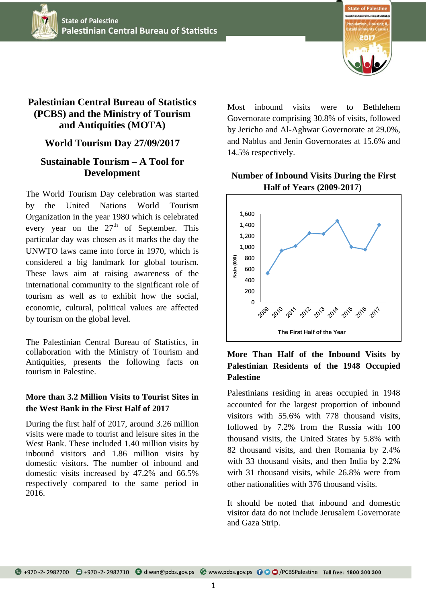



# **Palestinian Central Bureau of Statistics (PCBS) and the Ministry of Tourism and Antiquities (MOTA)**

### **World Tourism Day 27/09/2017**

## **Sustainable Tourism – A Tool for Development**

The World Tourism Day celebration was started by the United Nations World Tourism Organization in the year 1980 which is celebrated every year on the  $27<sup>th</sup>$  of September. This particular day was chosen as it marks the day the UNWTO laws came into force in 1970, which is considered a big landmark for global tourism. These laws aim at raising awareness of the international community to the significant role of tourism as well as to exhibit how the social, economic, cultural, political values are affected by tourism on the global level.

The Palestinian Central Bureau of Statistics, in collaboration with the Ministry of Tourism and Antiquities, presents the following facts on tourism in Palestine.

### **More than 3.2 Million Visits to Tourist Sites in the West Bank in the First Half of 2017**

During the first half of 2017, around 3.26 million visits were made to tourist and leisure sites in the West Bank. These included 1.40 million visits by inbound visitors and 1.86 million visits by domestic visitors. The number of inbound and domestic visits increased by 47.2% and 66.5% respectively compared to the same period in 2016.

Most inbound visits were to Bethlehem Governorate comprising 30.8% of visits, followed by Jericho and Al-Aghwar Governorate at 29.0%, and Nablus and Jenin Governorates at 15.6% and 14.5% respectively.

#### **Number of Inbound Visits During the First Half of Years (2009-2017)**



## **More Than Half of the Inbound Visits by Palestinian Residents of the 1948 Occupied Palestine**

Palestinians residing in areas occupied in 1948 accounted for the largest proportion of inbound visitors with 55.6% with 778 thousand visits, followed by 7.2% from the Russia with 100 thousand visits, the United States by 5.8% with 82 thousand visits, and then Romania by 2.4% with 33 thousand visits, and then India by 2.2% with 31 thousand visits, while 26.8% were from other nationalities with 376 thousand visits.  $\frac{200}{200}$ <br>  $\frac{1}{200}$ <br>  $\frac{1}{200}$ <br>  $\frac{1}{200}$ <br> **More Than I<br>
Palestinian Reversion Palestinian Reversion Palestinian Reversion Palestine**<br>
Palestinian Reversion Palestinian Reversion<br>
Sections with the Strip.<br>
Sect

It should be noted that inbound and domestic visitor data do not include Jerusalem Governorate and Gaza Strip.